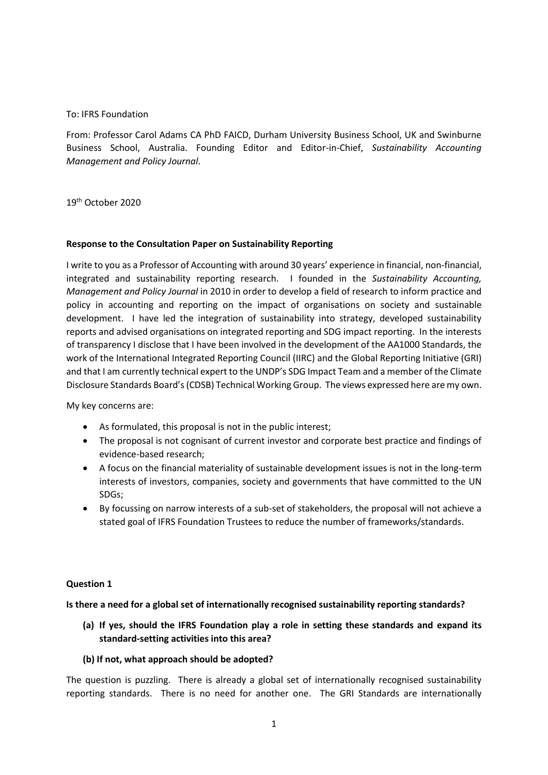### To: IFRS Foundation

From: Professor Carol Adams CA PhD FAICD, Durham University Business School, UK and Swinburne Business School, Australia. Founding Editor and Editor-in-Chief, *Sustainability Accounting Management and Policy Journal*.

19<sup>th</sup> October 2020

### **Response to the Consultation Paper on Sustainability Reporting**

I write to you as a Professor of Accounting with around 30 years' experience in financial, non-financial, integrated and sustainability reporting research. I founded in the *Sustainability Accounting, Management and Policy Journal* in 2010 in order to develop a field of research to inform practice and policy in accounting and reporting on the impact of organisations on society and sustainable development. I have led the integration of sustainability into strategy, developed sustainability reports and advised organisations on integrated reporting and SDG impact reporting. In the interests of transparency I disclose that I have been involved in the development of the AA1000 Standards, the work of the International Integrated Reporting Council (IIRC) and the Global Reporting Initiative (GRI) and that I am currently technical expert to the UNDP's SDG Impact Team and a member of the Climate Disclosure Standards Board's (CDSB) Technical Working Group. The views expressed here are my own.

My key concerns are:

- As formulated, this proposal is not in the public interest;
- The proposal is not cognisant of current investor and corporate best practice and findings of evidence-based research;
- A focus on the financial materiality of sustainable development issues is not in the long-term interests of investors, companies, society and governments that have committed to the UN SDGs;
- By focussing on narrow interests of a sub-set of stakeholders, the proposal will not achieve a stated goal of IFRS Foundation Trustees to reduce the number of frameworks/standards.

### **Question 1**

**Is there a need for a global set of internationally recognised sustainability reporting standards?**

**(a) If yes, should the IFRS Foundation play a role in setting these standards and expand its standard-setting activities into this area?**

### **(b) If not, what approach should be adopted?**

The question is puzzling. There is already a global set of internationally recognised sustainability reporting standards. There is no need for another one. The GRI Standards are internationally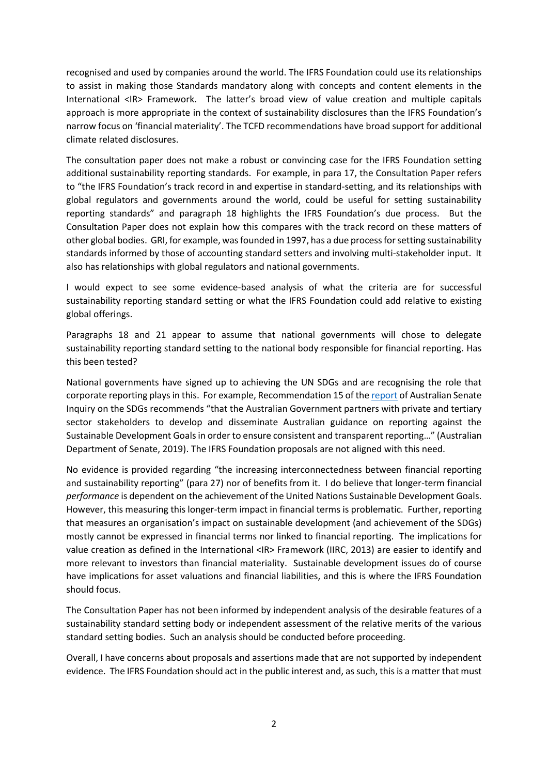recognised and used by companies around the world. The IFRS Foundation could use its relationships to assist in making those Standards mandatory along with concepts and content elements in the International <IR> Framework. The latter's broad view of value creation and multiple capitals approach is more appropriate in the context of sustainability disclosures than the IFRS Foundation's narrow focus on 'financial materiality'. The TCFD recommendations have broad support for additional climate related disclosures.

The consultation paper does not make a robust or convincing case for the IFRS Foundation setting additional sustainability reporting standards. For example, in para 17, the Consultation Paper refers to "the IFRS Foundation's track record in and expertise in standard-setting, and its relationships with global regulators and governments around the world, could be useful for setting sustainability reporting standards" and paragraph 18 highlights the IFRS Foundation's due process. But the Consultation Paper does not explain how this compares with the track record on these matters of other global bodies. GRI, for example, was founded in 1997, has a due process for setting sustainability standards informed by those of accounting standard setters and involving multi-stakeholder input. It also has relationships with global regulators and national governments.

I would expect to see some evidence-based analysis of what the criteria are for successful sustainability reporting standard setting or what the IFRS Foundation could add relative to existing global offerings.

Paragraphs 18 and 21 appear to assume that national governments will chose to delegate sustainability reporting standard setting to the national body responsible for financial reporting. Has this been tested?

National governments have signed up to achieving the UN SDGs and are recognising the role that corporat[e report](https://www.aph.gov.au/Parliamentary_Business/Committees/Senate/Foreign_Affairs_Defence_and_Trade/SDGs/Report)ing plays in this. For example, Recommendation 15 of the report of Australian Senate Inquiry on the SDGs recommends "that the Australian Government partners with private and tertiary sector stakeholders to develop and disseminate Australian guidance on reporting against the Sustainable Development Goals in order to ensure consistent and transparent reporting…" (Australian Department of Senate, 2019). The IFRS Foundation proposals are not aligned with this need.

No evidence is provided regarding "the increasing interconnectedness between financial reporting and sustainability reporting" (para 27) nor of benefits from it. I do believe that longer-term financial *performance* is dependent on the achievement of the United Nations Sustainable Development Goals. However, this measuring this longer-term impact in financial terms is problematic. Further, reporting that measures an organisation's impact on sustainable development (and achievement of the SDGs) mostly cannot be expressed in financial terms nor linked to financial reporting. The implications for value creation as defined in the International <IR> Framework (IIRC, 2013) are easier to identify and more relevant to investors than financial materiality. Sustainable development issues do of course have implications for asset valuations and financial liabilities, and this is where the IFRS Foundation should focus.

The Consultation Paper has not been informed by independent analysis of the desirable features of a sustainability standard setting body or independent assessment of the relative merits of the various standard setting bodies. Such an analysis should be conducted before proceeding.

Overall, I have concerns about proposals and assertions made that are not supported by independent evidence. The IFRS Foundation should act in the public interest and, as such, this is a matter that must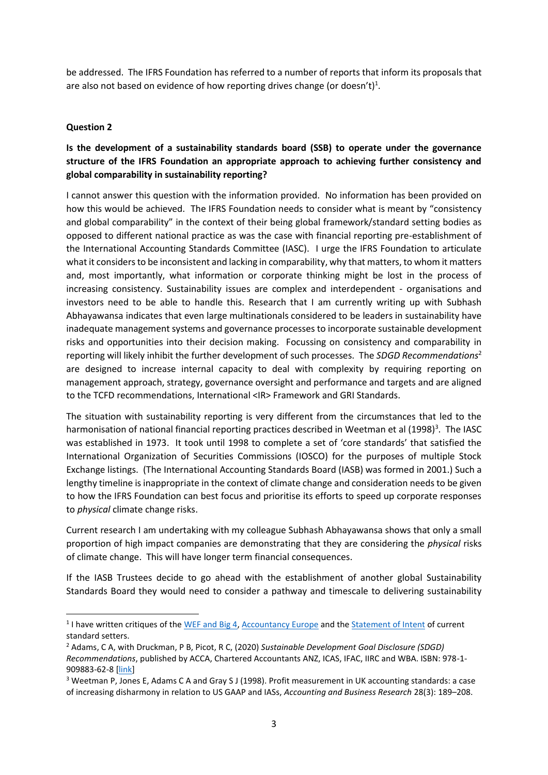be addressed. The IFRS Foundation has referred to a number of reports that inform its proposals that are also not based on evidence of how reporting drives change (or doesn't)<sup>1</sup>.

### **Question 2**

# **Is the development of a sustainability standards board (SSB) to operate under the governance structure of the IFRS Foundation an appropriate approach to achieving further consistency and global comparability in sustainability reporting?**

I cannot answer this question with the information provided. No information has been provided on how this would be achieved. The IFRS Foundation needs to consider what is meant by "consistency and global comparability" in the context of their being global framework/standard setting bodies as opposed to different national practice as was the case with financial reporting pre-establishment of the International Accounting Standards Committee (IASC). I urge the IFRS Foundation to articulate what it considers to be inconsistent and lacking in comparability, why that matters, to whom it matters and, most importantly, what information or corporate thinking might be lost in the process of increasing consistency. Sustainability issues are complex and interdependent - organisations and investors need to be able to handle this. Research that I am currently writing up with Subhash Abhayawansa indicates that even large multinationals considered to be leaders in sustainability have inadequate management systems and governance processes to incorporate sustainable development risks and opportunities into their decision making. Focussing on consistency and comparability in reporting will likely inhibit the further development of such processes. The *SDGD Recommendations*<sup>2</sup> are designed to increase internal capacity to deal with complexity by requiring reporting on management approach, strategy, governance oversight and performance and targets and are aligned to the TCFD recommendations, International <IR> Framework and GRI Standards.

The situation with sustainability reporting is very different from the circumstances that led to the harmonisation of national financial reporting practices described in Weetman et al (1998)<sup>3</sup>. The IASC was established in 1973. It took until 1998 to complete a set of 'core standards' that satisfied the International Organization of Securities Commissions (IOSCO) for the purposes of multiple Stock Exchange listings. (The International Accounting Standards Board (IASB) was formed in 2001.) Such a lengthy timeline is inappropriate in the context of climate change and consideration needs to be given to how the IFRS Foundation can best focus and prioritise its efforts to speed up corporate responses to *physical* climate change risks.

Current research I am undertaking with my colleague Subhash Abhayawansa shows that only a small proportion of high impact companies are demonstrating that they are considering the *physical* risks of climate change. This will have longer term financial consequences.

If the IASB Trustees decide to go ahead with the establishment of another global Sustainability Standards Board they would need to consider a pathway and timescale to delivering sustainability

<sup>&</sup>lt;sup>1</sup> I have written critiques of the [WEF and Big 4,](https://drcaroladams.net/a-response-to-the-wef-and-big-4/) [Accountancy Europe](https://drcaroladams.net/europe-needs-mandatory-non-financial-reporting-to-underpin-the-covid-recovery/) and the [Statement of Intent](https://drcaroladams.net/the-statement-of-intent-proposing-a-different-approach/) of current standard setters.

<sup>2</sup> Adams, C A, with Druckman, P B, Picot, R C, (2020) *Sustainable Development Goal Disclosure (SDGD) Recommendations*, published by ACCA, Chartered Accountants ANZ, ICAS, IFAC, IIRC and WBA. ISBN: 978-1- 909883-62-8 [\[link\]](https://www.ifac.org/system/files/publications/files/Adams_Druckman_Picot_2020_Final_SDGD_Recommendations.pdf)

<sup>3</sup> Weetman P, Jones E, Adams C A and Gray S J (1998). Profit measurement in UK accounting standards: a case of increasing disharmony in relation to US GAAP and IASs, *Accounting and Business Research* 28(3): 189–208.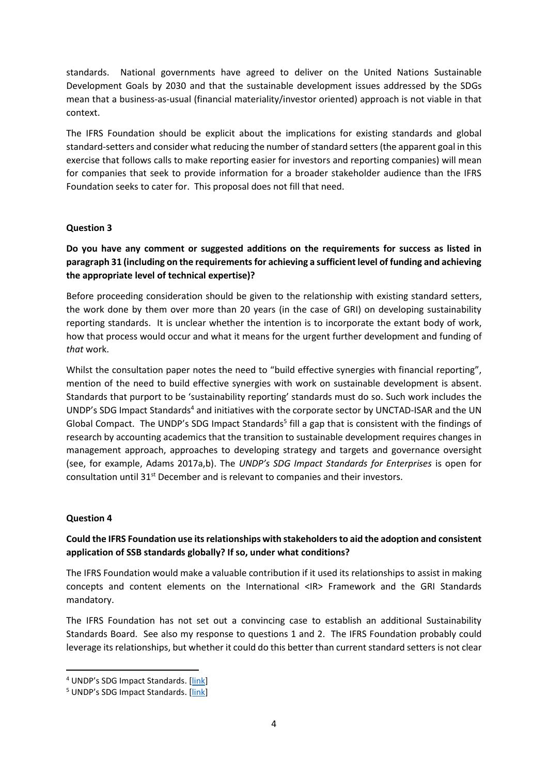standards. National governments have agreed to deliver on the United Nations Sustainable Development Goals by 2030 and that the sustainable development issues addressed by the SDGs mean that a business-as-usual (financial materiality/investor oriented) approach is not viable in that context.

The IFRS Foundation should be explicit about the implications for existing standards and global standard-setters and consider what reducing the number of standard setters (the apparent goal in this exercise that follows calls to make reporting easier for investors and reporting companies) will mean for companies that seek to provide information for a broader stakeholder audience than the IFRS Foundation seeks to cater for. This proposal does not fill that need.

### **Question 3**

# **Do you have any comment or suggested additions on the requirements for success as listed in paragraph 31 (including on the requirements for achieving a sufficient level of funding and achieving the appropriate level of technical expertise)?**

Before proceeding consideration should be given to the relationship with existing standard setters, the work done by them over more than 20 years (in the case of GRI) on developing sustainability reporting standards. It is unclear whether the intention is to incorporate the extant body of work, how that process would occur and what it means for the urgent further development and funding of *that* work.

Whilst the consultation paper notes the need to "build effective synergies with financial reporting", mention of the need to build effective synergies with work on sustainable development is absent. Standards that purport to be 'sustainability reporting' standards must do so. Such work includes the UNDP's SDG Impact Standards<sup>4</sup> and initiatives with the corporate sector by UNCTAD-ISAR and the UN Global Compact. The UNDP's SDG Impact Standards<sup>5</sup> fill a gap that is consistent with the findings of research by accounting academics that the transition to sustainable development requires changes in management approach, approaches to developing strategy and targets and governance oversight (see, for example, Adams 2017a,b). The *UNDP's SDG Impact Standards for Enterprises* is open for consultation until 31<sup>st</sup> December and is relevant to companies and their investors.

### **Question 4**

## **Could the IFRS Foundation use its relationships with stakeholders to aid the adoption and consistent application of SSB standards globally? If so, under what conditions?**

The IFRS Foundation would make a valuable contribution if it used its relationships to assist in making concepts and content elements on the International <IR> Framework and the GRI Standards mandatory.

The IFRS Foundation has not set out a convincing case to establish an additional Sustainability Standards Board. See also my response to questions 1 and 2. The IFRS Foundation probably could leverage its relationships, but whether it could do this better than current standard setters is not clear

<sup>4</sup> UNDP's SDG Impact Standards. [[link\]](https://sdgimpact.undp.org/practice-standards.html)

<sup>5</sup> UNDP's SDG Impact Standards. [[link\]](https://sdgimpact.undp.org/practice-standards.html)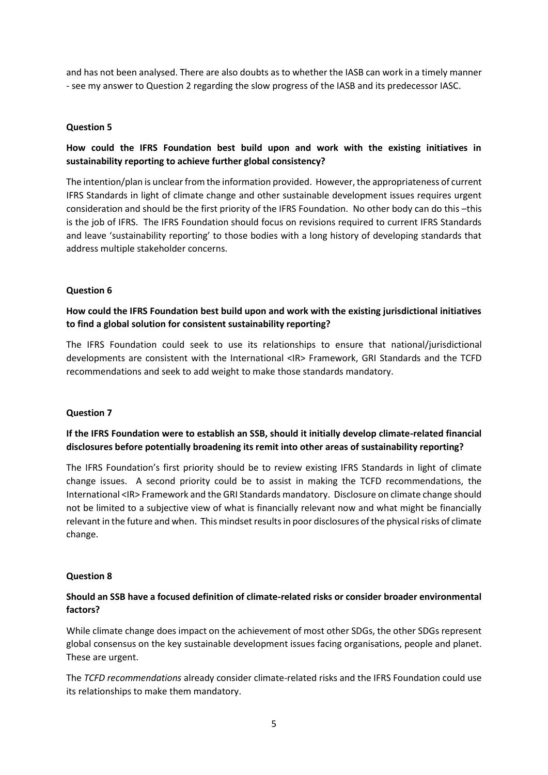and has not been analysed. There are also doubts as to whether the IASB can work in a timely manner - see my answer to Question 2 regarding the slow progress of the IASB and its predecessor IASC.

### **Question 5**

# **How could the IFRS Foundation best build upon and work with the existing initiatives in sustainability reporting to achieve further global consistency?**

The intention/plan is unclear from the information provided. However, the appropriateness of current IFRS Standards in light of climate change and other sustainable development issues requires urgent consideration and should be the first priority of the IFRS Foundation. No other body can do this –this is the job of IFRS. The IFRS Foundation should focus on revisions required to current IFRS Standards and leave 'sustainability reporting' to those bodies with a long history of developing standards that address multiple stakeholder concerns.

### **Question 6**

# **How could the IFRS Foundation best build upon and work with the existing jurisdictional initiatives to find a global solution for consistent sustainability reporting?**

The IFRS Foundation could seek to use its relationships to ensure that national/jurisdictional developments are consistent with the International <IR> Framework, GRI Standards and the TCFD recommendations and seek to add weight to make those standards mandatory.

### **Question 7**

# **If the IFRS Foundation were to establish an SSB, should it initially develop climate-related financial disclosures before potentially broadening its remit into other areas of sustainability reporting?**

The IFRS Foundation's first priority should be to review existing IFRS Standards in light of climate change issues. A second priority could be to assist in making the TCFD recommendations, the International <IR> Framework and the GRI Standards mandatory. Disclosure on climate change should not be limited to a subjective view of what is financially relevant now and what might be financially relevant in the future and when. This mindset results in poor disclosures of the physical risks of climate change.

### **Question 8**

# **Should an SSB have a focused definition of climate-related risks or consider broader environmental factors?**

While climate change does impact on the achievement of most other SDGs, the other SDGs represent global consensus on the key sustainable development issues facing organisations, people and planet. These are urgent.

The *TCFD recommendations* already consider climate-related risks and the IFRS Foundation could use its relationships to make them mandatory.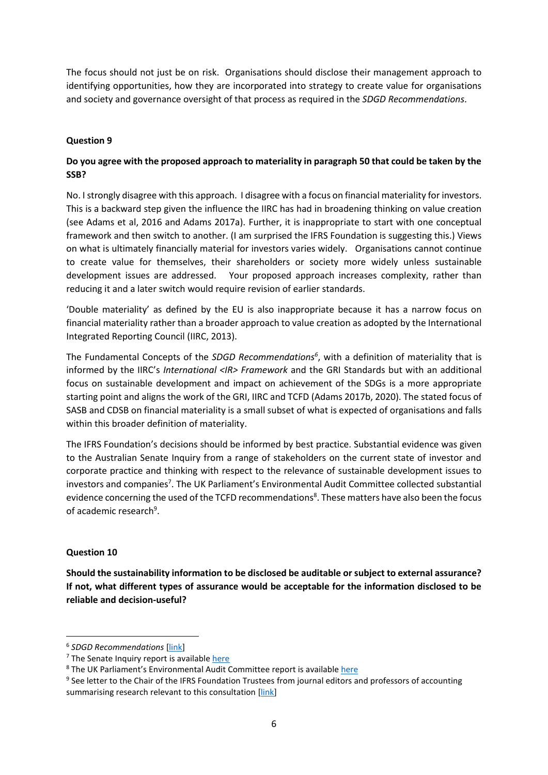The focus should not just be on risk. Organisations should disclose their management approach to identifying opportunities, how they are incorporated into strategy to create value for organisations and society and governance oversight of that process as required in the *SDGD Recommendations*.

### **Question 9**

# **Do you agree with the proposed approach to materiality in paragraph 50 that could be taken by the SSB?**

No. I strongly disagree with this approach. I disagree with a focus on financial materiality for investors. This is a backward step given the influence the IIRC has had in broadening thinking on value creation (see Adams et al, 2016 and Adams 2017a). Further, it is inappropriate to start with one conceptual framework and then switch to another. (I am surprised the IFRS Foundation is suggesting this.) Views on what is ultimately financially material for investors varies widely. Organisations cannot continue to create value for themselves, their shareholders or society more widely unless sustainable development issues are addressed. Your proposed approach increases complexity, rather than reducing it and a later switch would require revision of earlier standards.

'Double materiality' as defined by the EU is also inappropriate because it has a narrow focus on financial materiality rather than a broader approach to value creation as adopted by the International Integrated Reporting Council (IIRC, 2013).

The Fundamental Concepts of the *SDGD Recommendations<sup>6</sup>* , with a definition of materiality that is informed by the IIRC's *International <IR> Framework* and the GRI Standards but with an additional focus on sustainable development and impact on achievement of the SDGs is a more appropriate starting point and aligns the work of the GRI, IIRC and TCFD (Adams 2017b, 2020). The stated focus of SASB and CDSB on financial materiality is a small subset of what is expected of organisations and falls within this broader definition of materiality.

The IFRS Foundation's decisions should be informed by best practice. Substantial evidence was given to the Australian Senate Inquiry from a range of stakeholders on the current state of investor and corporate practice and thinking with respect to the relevance of sustainable development issues to investors and companies<sup>7</sup>. The UK Parliament's Environmental Audit Committee collected substantial evidence concerning the used of the TCFD recommendations<sup>8</sup>. These matters have also been the focus of academic research<sup>9</sup>.

### **Question 10**

**Should the sustainability information to be disclosed be auditable or subject to external assurance? If not, what different types of assurance would be acceptable for the information disclosed to be reliable and decision-useful?**

<sup>6</sup> *SDGD Recommendations* [\[link\]](https://www.ifac.org/system/files/publications/files/Adams_Druckman_Picot_2020_Final_SDGD_Recommendations.pdf)

<sup>&</sup>lt;sup>7</sup> The Senate Inquiry report is available [here](https://www.aph.gov.au/Parliamentary_Business/Committees/Senate/Foreign_Affairs_Defence_and_Trade/SDGs/Report)

<sup>&</sup>lt;sup>8</sup> The UK Parliament's Environmental Audit Committee report is availabl[e here](https://publications.parliament.uk/pa/cm201719/cmselect/cmenvaud/1063/1063.pdf)

<sup>&</sup>lt;sup>9</sup> See letter to the Chair of the IFRS Foundation Trustees from journal editors and professors of accounting summarising research relevant to this consultation [\[link\]](https://drcaroladams.net/open-letter-to-the-chair-of-the-ifrs-foundation-trustees-from-professors-of-accounting/)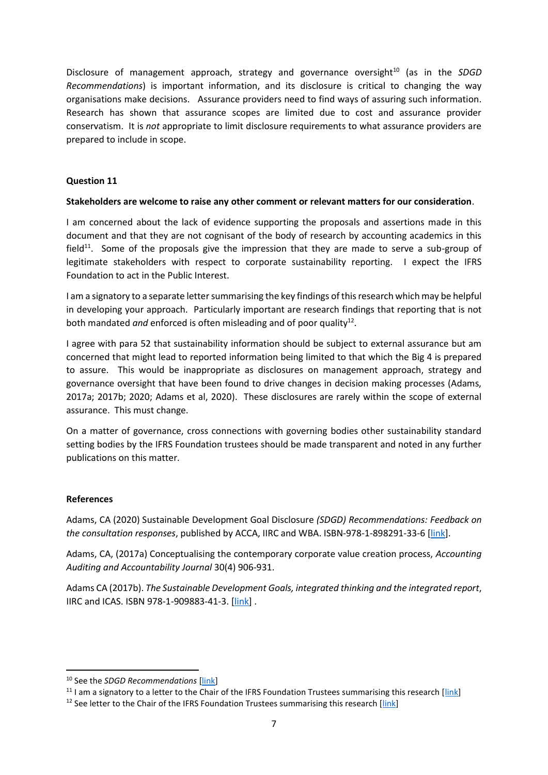Disclosure of management approach, strategy and governance oversight<sup>10</sup> (as in the *SDGD Recommendations*) is important information, and its disclosure is critical to changing the way organisations make decisions. Assurance providers need to find ways of assuring such information. Research has shown that assurance scopes are limited due to cost and assurance provider conservatism. It is *not* appropriate to limit disclosure requirements to what assurance providers are prepared to include in scope.

### **Question 11**

### **Stakeholders are welcome to raise any other comment or relevant matters for our consideration**.

I am concerned about the lack of evidence supporting the proposals and assertions made in this document and that they are not cognisant of the body of research by accounting academics in this field $11$ . Some of the proposals give the impression that they are made to serve a sub-group of legitimate stakeholders with respect to corporate sustainability reporting. I expect the IFRS Foundation to act in the Public Interest.

I am a signatory to a separate letter summarising the key findings of this research which may be helpful in developing your approach. Particularly important are research findings that reporting that is not both mandated and enforced is often misleading and of poor quality<sup>12</sup>.

I agree with para 52 that sustainability information should be subject to external assurance but am concerned that might lead to reported information being limited to that which the Big 4 is prepared to assure. This would be inappropriate as disclosures on management approach, strategy and governance oversight that have been found to drive changes in decision making processes (Adams, 2017a; 2017b; 2020; Adams et al, 2020). These disclosures are rarely within the scope of external assurance. This must change.

On a matter of governance, cross connections with governing bodies other sustainability standard setting bodies by the IFRS Foundation trustees should be made transparent and noted in any further publications on this matter.

### **References**

Adams, CA (2020) Sustainable Development Goal Disclosure *(SDGD) Recommendations: Feedback on the consultation responses*, published by ACCA, IIRC and WBA. ISBN-978-1-898291-33-6 [\[link\]](https://www.icas.com/professional-resources/sustainability/sustainable-development-goals/feedback-on-sdg-disclosure-recommendations/).

Adams, CA, (2017a) Conceptualising the contemporary corporate value creation process, *Accounting Auditing and Accountability Journal* 30(4) 906-931.

Adams CA (2017b). *The Sustainable Development Goals, integrated thinking and the integrated report*, IIRC and ICAS. ISBN 978-1-909883-41-3. [\[link\]](https://www.icas.com/__data/assets/pdf_file/0010/336475/SDGs-and-the-integrated-report_full17.pdf) .

<sup>10</sup> See the *SDGD Recommendations* [\[link\]](https://www.ifac.org/system/files/publications/files/Adams_Druckman_Picot_2020_Final_SDGD_Recommendations.pdf)

 $11$  I am a signatory to a letter to the Chair of the IFRS Foundation Trustees summarising this research [\[link\]](https://drcaroladams.net/open-letter-to-the-chair-of-the-ifrs-foundation-trustees-from-professors-of-accounting/)

 $12$  See letter to the Chair of the IFRS Foundation Trustees summarising this research [\[link\]](https://drcaroladams.net/open-letter-to-the-chair-of-the-ifrs-foundation-trustees-from-professors-of-accounting/)